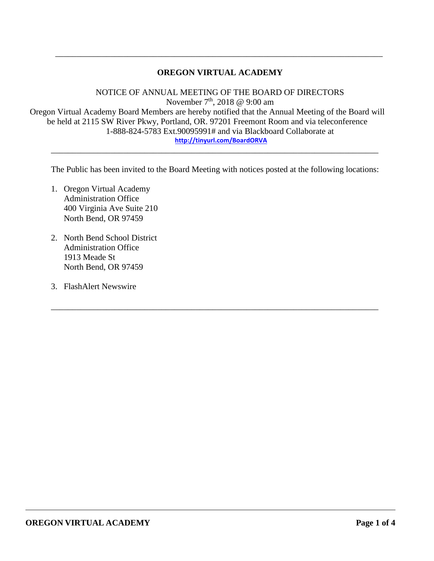# **OREGON VIRTUAL ACADEMY**

\_\_\_\_\_\_\_\_\_\_\_\_\_\_\_\_\_\_\_\_\_\_\_\_\_\_\_\_\_\_\_\_\_\_\_\_\_\_\_\_\_\_\_\_\_\_\_\_\_\_\_\_\_\_\_\_\_\_\_\_\_\_\_\_\_\_\_\_\_\_\_\_\_\_\_\_\_

NOTICE OF ANNUAL MEETING OF THE BOARD OF DIRECTORS November  $7<sup>th</sup>$ , 2018 @ 9:00 am Oregon Virtual Academy Board Members are hereby notified that the Annual Meeting of the Board will be held at 2115 SW River Pkwy, Portland, OR. 97201 Freemont Room and via teleconference 1-888-824-5783 Ext.90095991# and via Blackboard Collaborate at **<http://tinyurl.com/BoardORVA>** \_\_\_\_\_\_\_\_\_\_\_\_\_\_\_\_\_\_\_\_\_\_\_\_\_\_\_\_\_\_\_\_\_\_\_\_\_\_\_\_\_\_\_\_\_\_\_\_\_\_\_\_\_\_\_\_\_\_\_\_\_\_\_\_\_\_\_\_\_\_\_\_\_\_\_\_\_

The Public has been invited to the Board Meeting with notices posted at the following locations:

\_\_\_\_\_\_\_\_\_\_\_\_\_\_\_\_\_\_\_\_\_\_\_\_\_\_\_\_\_\_\_\_\_\_\_\_\_\_\_\_\_\_\_\_\_\_\_\_\_\_\_\_\_\_\_\_\_\_\_\_\_\_\_\_\_\_\_\_\_\_\_\_\_\_\_\_\_

- 1. Oregon Virtual Academy Administration Office 400 Virginia Ave Suite 210 North Bend, OR 97459
- 2. North Bend School District Administration Office 1913 Meade St North Bend, OR 97459
- 3. FlashAlert Newswire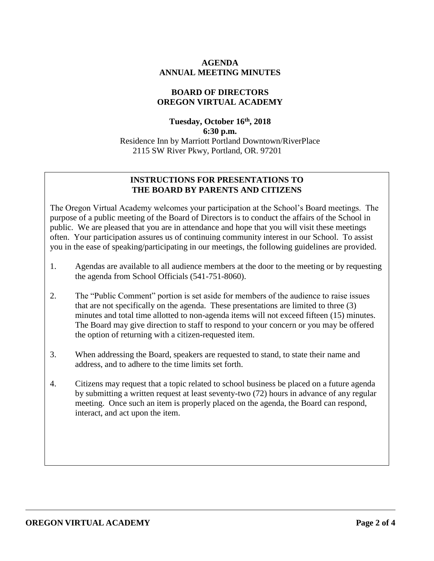## **AGENDA ANNUAL MEETING MINUTES**

### **BOARD OF DIRECTORS OREGON VIRTUAL ACADEMY**

# **Tuesday, October 16 th , 2018 6:30 p.m.** Residence Inn by Marriott Portland Downtown/RiverPlace 2115 SW River Pkwy, Portland, OR. 97201

## **INSTRUCTIONS FOR PRESENTATIONS TO THE BOARD BY PARENTS AND CITIZENS**

The Oregon Virtual Academy welcomes your participation at the School's Board meetings. The purpose of a public meeting of the Board of Directors is to conduct the affairs of the School in public. We are pleased that you are in attendance and hope that you will visit these meetings often. Your participation assures us of continuing community interest in our School. To assist you in the ease of speaking/participating in our meetings, the following guidelines are provided.

- 1. Agendas are available to all audience members at the door to the meeting or by requesting the agenda from School Officials (541-751-8060).
- 2. The "Public Comment" portion is set aside for members of the audience to raise issues that are not specifically on the agenda. These presentations are limited to three (3) minutes and total time allotted to non-agenda items will not exceed fifteen (15) minutes. The Board may give direction to staff to respond to your concern or you may be offered the option of returning with a citizen-requested item.
- 3. When addressing the Board, speakers are requested to stand, to state their name and address, and to adhere to the time limits set forth.
- 4. Citizens may request that a topic related to school business be placed on a future agenda by submitting a written request at least seventy-two (72) hours in advance of any regular meeting. Once such an item is properly placed on the agenda, the Board can respond, interact, and act upon the item.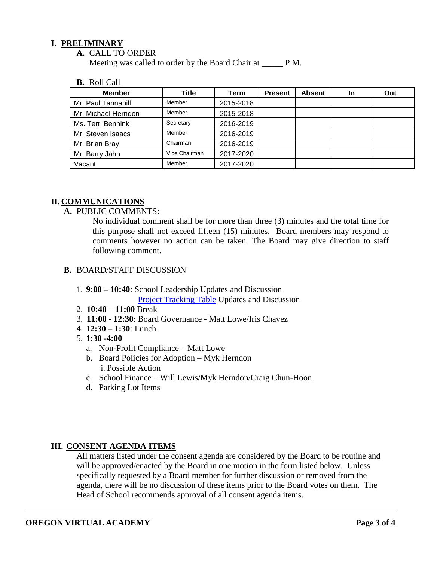## **I. PRELIMINARY**

#### **A.** CALL TO ORDER

Meeting was called to order by the Board Chair at \_\_\_\_\_\_ P.M.

#### **B.** Roll Call

| <b>Member</b>       | Title         | Term      | <b>Present</b> | <b>Absent</b> | <b>In</b> | Out |
|---------------------|---------------|-----------|----------------|---------------|-----------|-----|
| Mr. Paul Tannahill  | Member        | 2015-2018 |                |               |           |     |
| Mr. Michael Herndon | Member        | 2015-2018 |                |               |           |     |
| Ms. Terri Bennink   | Secretary     | 2016-2019 |                |               |           |     |
| Mr. Steven Isaacs   | Member        | 2016-2019 |                |               |           |     |
| Mr. Brian Bray      | Chairman      | 2016-2019 |                |               |           |     |
| Mr. Barry Jahn      | Vice Chairman | 2017-2020 |                |               |           |     |
| Vacant              | Member        | 2017-2020 |                |               |           |     |

### **II. COMMUNICATIONS**

## **A.** PUBLIC COMMENTS:

No individual comment shall be for more than three (3) minutes and the total time for this purpose shall not exceed fifteen (15) minutes. Board members may respond to comments however no action can be taken. The Board may give direction to staff following comment.

### **B.** BOARD/STAFF DISCUSSION

## 1. **9:00 – 10:40**: School Leadership Updates and Discussion [Project Tracking Table](https://docs.google.com/document/d/1RTVhuEjAlhrFC0LuB-8wiTd-hAj64I6JH8Cj6G876Eg/edit) Updates and Discussion

- 2. **10:40 – 11:00** Break
- 3. **11:00 - 12:30**: Board Governance *-* Matt Lowe/Iris Chavez
- 4. **12:30 – 1:30**: Lunch

### 5. **1:30 -4:00**

- a. Non-Profit Compliance Matt Lowe
- b. Board Policies for Adoption Myk Herndon i. Possible Action
- c. School Finance Will Lewis/Myk Herndon/Craig Chun-Hoon
- d. Parking Lot Items

### **III. CONSENT AGENDA ITEMS**

All matters listed under the consent agenda are considered by the Board to be routine and will be approved/enacted by the Board in one motion in the form listed below. Unless specifically requested by a Board member for further discussion or removed from the agenda, there will be no discussion of these items prior to the Board votes on them. The Head of School recommends approval of all consent agenda items.